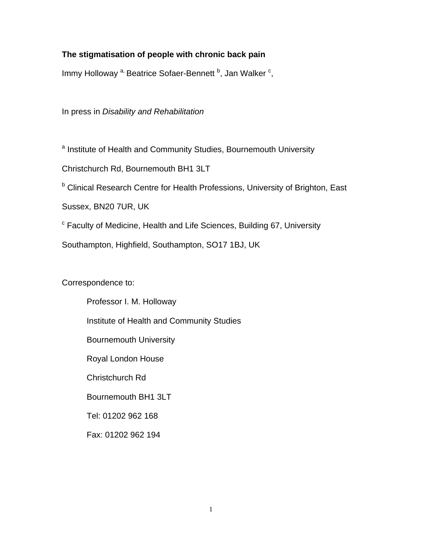# **The stigmatisation of people with chronic back pain**

Immy Holloway <sup>a,</sup> Beatrice Sofaer-Bennett <sup>b</sup>, Jan Walker <sup>c</sup>,

In press in *Disability and Rehabilitation* 

<sup>a</sup> Institute of Health and Community Studies, Bournemouth University

Christchurch Rd, Bournemouth BH1 3LT

**b** Clinical Research Centre for Health Professions, University of Brighton, East

Sussex, BN20 7UR, UK

<sup>c</sup> Faculty of Medicine, Health and Life Sciences, Building 67, University

Southampton, Highfield, Southampton, SO17 1BJ, UK

# Correspondence to:

Professor I. M. Holloway Institute of Health and Community Studies Bournemouth University Royal London House Christchurch Rd Bournemouth BH1 3LT Tel: 01202 962 168 Fax: 01202 962 194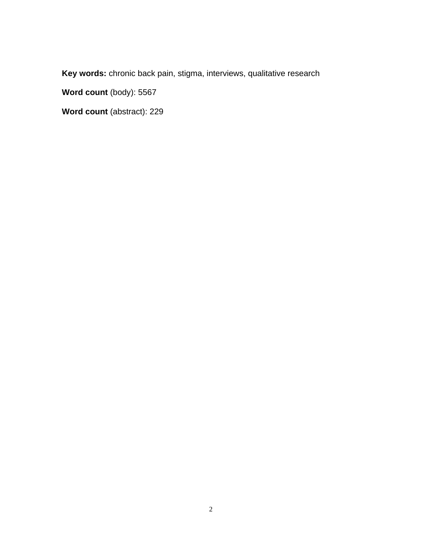**Key words:** chronic back pain, stigma, interviews, qualitative research

Word count (body): 5567

**Word count** (abstract): 229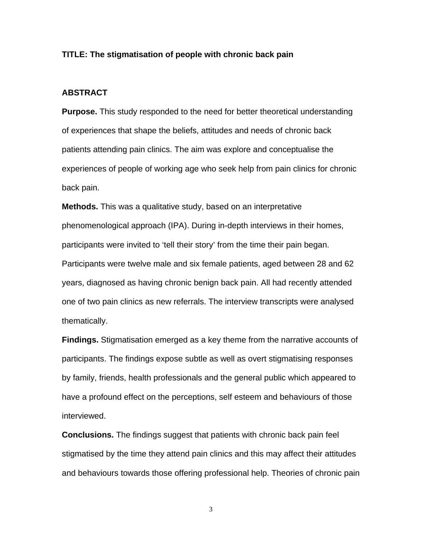### **TITLE: The stigmatisation of people with chronic back pain**

## **ABSTRACT**

**Purpose.** This study responded to the need for better theoretical understanding of experiences that shape the beliefs, attitudes and needs of chronic back patients attending pain clinics. The aim was explore and conceptualise the experiences of people of working age who seek help from pain clinics for chronic back pain.

**Methods.** This was a qualitative study, based on an interpretative phenomenological approach (IPA). During in-depth interviews in their homes, participants were invited to 'tell their story' from the time their pain began. Participants were twelve male and six female patients, aged between 28 and 62 years, diagnosed as having chronic benign back pain. All had recently attended one of two pain clinics as new referrals. The interview transcripts were analysed thematically.

**Findings.** Stigmatisation emerged as a key theme from the narrative accounts of participants. The findings expose subtle as well as overt stigmatising responses by family, friends, health professionals and the general public which appeared to have a profound effect on the perceptions, self esteem and behaviours of those interviewed.

**Conclusions.** The findings suggest that patients with chronic back pain feel stigmatised by the time they attend pain clinics and this may affect their attitudes and behaviours towards those offering professional help. Theories of chronic pain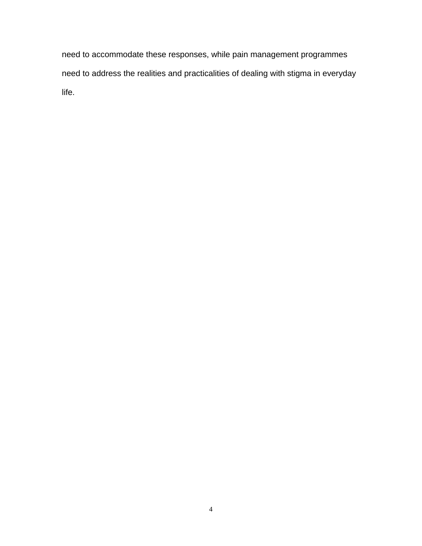need to accommodate these responses, while pain management programmes need to address the realities and practicalities of dealing with stigma in everyday life.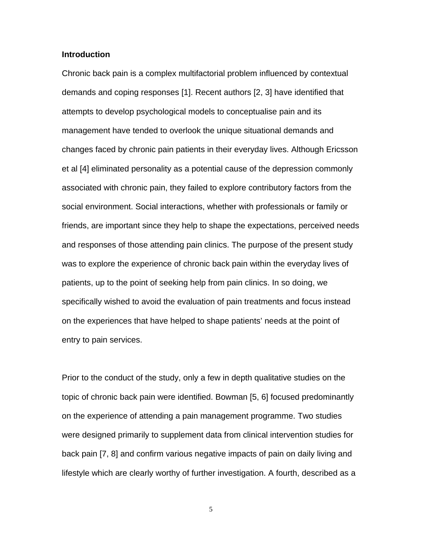## **Introduction**

Chronic back pain is a complex multifactorial problem influenced by contextual demands and coping responses [1]. Recent authors [2, 3] have identified that attempts to develop psychological models to conceptualise pain and its management have tended to overlook the unique situational demands and changes faced by chronic pain patients in their everyday lives. Although Ericsson et al [4] eliminated personality as a potential cause of the depression commonly associated with chronic pain, they failed to explore contributory factors from the social environment. Social interactions, whether with professionals or family or friends, are important since they help to shape the expectations, perceived needs and responses of those attending pain clinics. The purpose of the present study was to explore the experience of chronic back pain within the everyday lives of patients, up to the point of seeking help from pain clinics. In so doing, we specifically wished to avoid the evaluation of pain treatments and focus instead on the experiences that have helped to shape patients' needs at the point of entry to pain services.

Prior to the conduct of the study, only a few in depth qualitative studies on the topic of chronic back pain were identified. Bowman [5, 6] focused predominantly on the experience of attending a pain management programme. Two studies were designed primarily to supplement data from clinical intervention studies for back pain [7, 8] and confirm various negative impacts of pain on daily living and lifestyle which are clearly worthy of further investigation. A fourth, described as a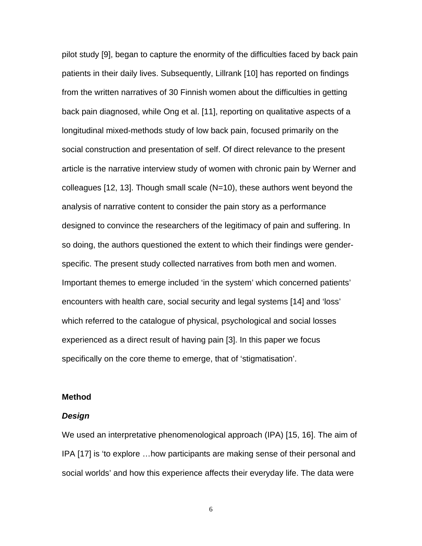pilot study [9], began to capture the enormity of the difficulties faced by back pain patients in their daily lives. Subsequently, Lillrank [10] has reported on findings from the written narratives of 30 Finnish women about the difficulties in getting back pain diagnosed, while Ong et al. [11], reporting on qualitative aspects of a longitudinal mixed-methods study of low back pain, focused primarily on the social construction and presentation of self. Of direct relevance to the present article is the narrative interview study of women with chronic pain by Werner and colleagues [12, 13]. Though small scale (N=10), these authors went beyond the analysis of narrative content to consider the pain story as a performance designed to convince the researchers of the legitimacy of pain and suffering. In so doing, the authors questioned the extent to which their findings were genderspecific. The present study collected narratives from both men and women. Important themes to emerge included 'in the system' which concerned patients' encounters with health care, social security and legal systems [14] and 'loss' which referred to the catalogue of physical, psychological and social losses experienced as a direct result of having pain [3]. In this paper we focus specifically on the core theme to emerge, that of 'stigmatisation'.

#### **Method**

#### *Design*

We used an interpretative phenomenological approach (IPA) [15, 16]. The aim of IPA [17] is 'to explore …how participants are making sense of their personal and social worlds' and how this experience affects their everyday life. The data were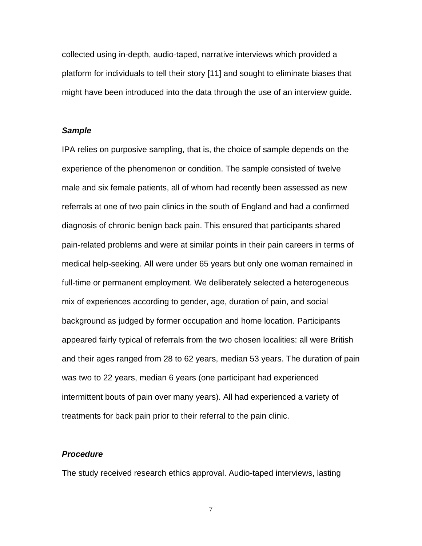collected using in-depth, audio-taped, narrative interviews which provided a platform for individuals to tell their story [11] and sought to eliminate biases that might have been introduced into the data through the use of an interview guide.

#### *Sample*

IPA relies on purposive sampling, that is, the choice of sample depends on the experience of the phenomenon or condition. The sample consisted of twelve male and six female patients, all of whom had recently been assessed as new referrals at one of two pain clinics in the south of England and had a confirmed diagnosis of chronic benign back pain. This ensured that participants shared pain-related problems and were at similar points in their pain careers in terms of medical help-seeking. All were under 65 years but only one woman remained in full-time or permanent employment. We deliberately selected a heterogeneous mix of experiences according to gender, age, duration of pain, and social background as judged by former occupation and home location. Participants appeared fairly typical of referrals from the two chosen localities: all were British and their ages ranged from 28 to 62 years, median 53 years. The duration of pain was two to 22 years, median 6 years (one participant had experienced intermittent bouts of pain over many years). All had experienced a variety of treatments for back pain prior to their referral to the pain clinic.

#### *Procedure*

The study received research ethics approval. Audio-taped interviews, lasting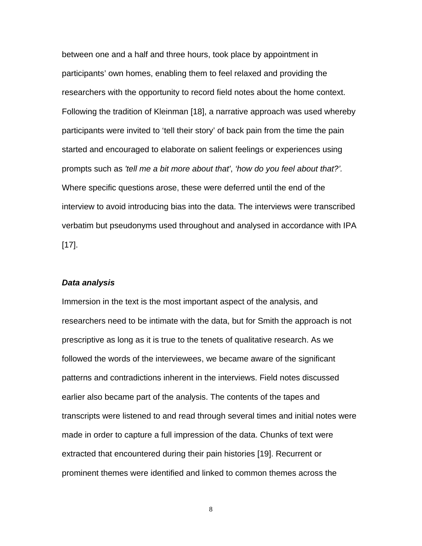between one and a half and three hours, took place by appointment in participants' own homes, enabling them to feel relaxed and providing the researchers with the opportunity to record field notes about the home context. Following the tradition of Kleinman [18], a narrative approach was used whereby participants were invited to 'tell their story' of back pain from the time the pain started and encouraged to elaborate on salient feelings or experiences using prompts such as *'tell me a bit more about that'*, *'how do you feel about that?'.* Where specific questions arose, these were deferred until the end of the interview to avoid introducing bias into the data. The interviews were transcribed verbatim but pseudonyms used throughout and analysed in accordance with IPA [17].

#### *Data analysis*

Immersion in the text is the most important aspect of the analysis, and researchers need to be intimate with the data, but for Smith the approach is not prescriptive as long as it is true to the tenets of qualitative research. As we followed the words of the interviewees, we became aware of the significant patterns and contradictions inherent in the interviews. Field notes discussed earlier also became part of the analysis. The contents of the tapes and transcripts were listened to and read through several times and initial notes were made in order to capture a full impression of the data. Chunks of text were extracted that encountered during their pain histories [19]. Recurrent or prominent themes were identified and linked to common themes across the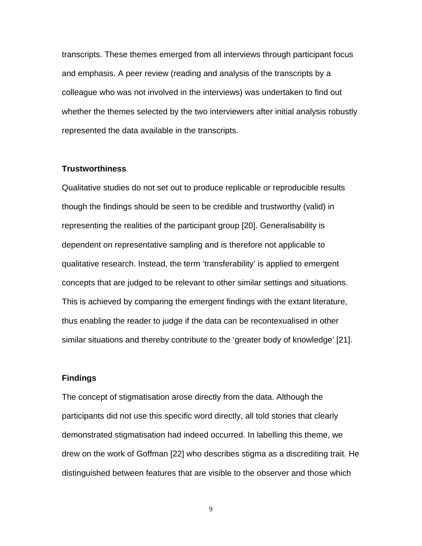transcripts. These themes emerged from all interviews through participant focus and emphasis. A peer review (reading and analysis of the transcripts by a colleague who was not involved in the interviews) was undertaken to find out whether the themes selected by the two interviewers after initial analysis robustly represented the data available in the transcripts.

#### **Trustworthiness**

Qualitative studies do not set out to produce replicable or reproducible results though the findings should be seen to be credible and trustworthy (valid) in representing the realities of the participant group [20]. Generalisability is dependent on representative sampling and is therefore not applicable to qualitative research. Instead, the term 'transferability' is applied to emergent concepts that are judged to be relevant to other similar settings and situations. This is achieved by comparing the emergent findings with the extant literature, thus enabling the reader to judge if the data can be recontexualised in other similar situations and thereby contribute to the 'greater body of knowledge' [21].

## **Findings**

The concept of stigmatisation arose directly from the data. Although the participants did not use this specific word directly, all told stories that clearly demonstrated stigmatisation had indeed occurred. In labelling this theme, we drew on the work of Goffman [22] who describes stigma as a discrediting trait. He distinguished between features that are visible to the observer and those which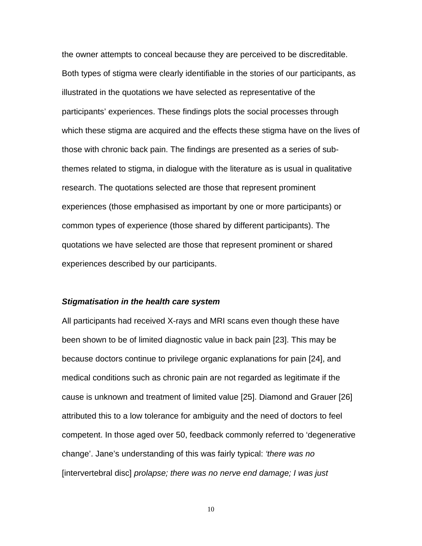the owner attempts to conceal because they are perceived to be discreditable. Both types of stigma were clearly identifiable in the stories of our participants, as illustrated in the quotations we have selected as representative of the participants' experiences. These findings plots the social processes through which these stigma are acquired and the effects these stigma have on the lives of those with chronic back pain. The findings are presented as a series of subthemes related to stigma, in dialogue with the literature as is usual in qualitative research. The quotations selected are those that represent prominent experiences (those emphasised as important by one or more participants) or common types of experience (those shared by different participants). The quotations we have selected are those that represent prominent or shared experiences described by our participants.

### *Stigmatisation in the health care system*

All participants had received X-rays and MRI scans even though these have been shown to be of limited diagnostic value in back pain [23]. This may be because doctors continue to privilege organic explanations for pain [24], and medical conditions such as chronic pain are not regarded as legitimate if the cause is unknown and treatment of limited value [25]. Diamond and Grauer [26] attributed this to a low tolerance for ambiguity and the need of doctors to feel competent. In those aged over 50, feedback commonly referred to 'degenerative change'. Jane's understanding of this was fairly typical: *'there was no* [intervertebral disc] *prolapse; there was no nerve end damage; I was just*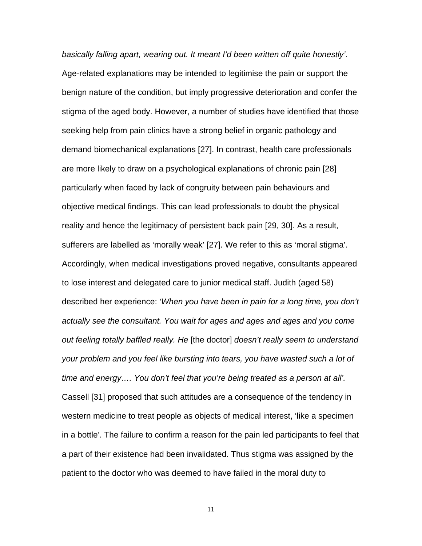*basically falling apart, wearing out. It meant I'd been written off quite honestly'*. Age-related explanations may be intended to legitimise the pain or support the benign nature of the condition, but imply progressive deterioration and confer the stigma of the aged body. However, a number of studies have identified that those seeking help from pain clinics have a strong belief in organic pathology and demand biomechanical explanations [27]. In contrast, health care professionals are more likely to draw on a psychological explanations of chronic pain [28] particularly when faced by lack of congruity between pain behaviours and objective medical findings. This can lead professionals to doubt the physical reality and hence the legitimacy of persistent back pain [29, 30]. As a result, sufferers are labelled as 'morally weak' [27]. We refer to this as 'moral stigma'. Accordingly, when medical investigations proved negative, consultants appeared to lose interest and delegated care to junior medical staff. Judith (aged 58) described her experience: *'When you have been in pain for a long time, you don't actually see the consultant. You wait for ages and ages and ages and you come out feeling totally baffled really. He* [the doctor] *doesn't really seem to understand your problem and you feel like bursting into tears, you have wasted such a lot of time and energy…. You don't feel that you're being treated as a person at all'.*  Cassell [31] proposed that such attitudes are a consequence of the tendency in western medicine to treat people as objects of medical interest, 'like a specimen in a bottle'. The failure to confirm a reason for the pain led participants to feel that a part of their existence had been invalidated. Thus stigma was assigned by the patient to the doctor who was deemed to have failed in the moral duty to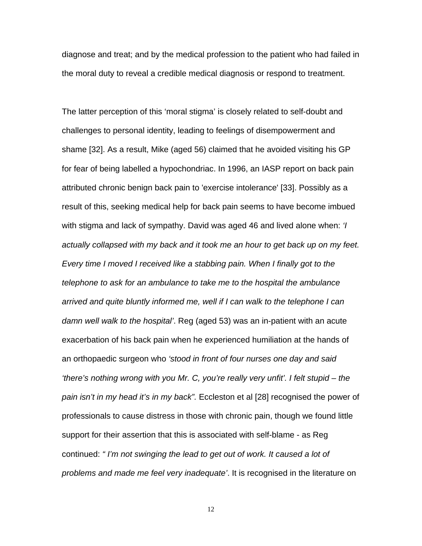diagnose and treat; and by the medical profession to the patient who had failed in the moral duty to reveal a credible medical diagnosis or respond to treatment.

The latter perception of this 'moral stigma' is closely related to self-doubt and challenges to personal identity, leading to feelings of disempowerment and shame [32]. As a result, Mike (aged 56) claimed that he avoided visiting his GP for fear of being labelled a hypochondriac. In 1996, an IASP report on back pain attributed chronic benign back pain to 'exercise intolerance' [33]. Possibly as a result of this, seeking medical help for back pain seems to have become imbued with stigma and lack of sympathy. David was aged 46 and lived alone when: *'I actually collapsed with my back and it took me an hour to get back up on my feet. Every time I moved I received like a stabbing pain. When I finally got to the telephone to ask for an ambulance to take me to the hospital the ambulance arrived and quite bluntly informed me, well if I can walk to the telephone I can damn well walk to the hospital'*. Reg (aged 53) was an in-patient with an acute exacerbation of his back pain when he experienced humiliation at the hands of an orthopaedic surgeon who *'stood in front of four nurses one day and said 'there's nothing wrong with you Mr. C, you're really very unfit'. I felt stupid – the pain isn't in my head it's in my back".* Eccleston et al [28] recognised the power of professionals to cause distress in those with chronic pain, though we found little support for their assertion that this is associated with self-blame - as Reg continued: *" I'm not swinging the lead to get out of work. It caused a lot of problems and made me feel very inadequate'*. It is recognised in the literature on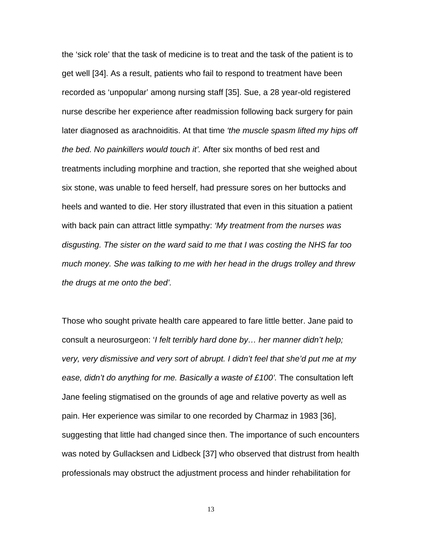the 'sick role' that the task of medicine is to treat and the task of the patient is to get well [34]. As a result, patients who fail to respond to treatment have been recorded as 'unpopular' among nursing staff [35]. Sue, a 28 year-old registered nurse describe her experience after readmission following back surgery for pain later diagnosed as arachnoiditis. At that time *'the muscle spasm lifted my hips off the bed. No painkillers would touch it'.* After six months of bed rest and treatments including morphine and traction, she reported that she weighed about six stone, was unable to feed herself, had pressure sores on her buttocks and heels and wanted to die. Her story illustrated that even in this situation a patient with back pain can attract little sympathy: *'My treatment from the nurses was disgusting. The sister on the ward said to me that I was costing the NHS far too much money. She was talking to me with her head in the drugs trolley and threw the drugs at me onto the bed'.* 

Those who sought private health care appeared to fare little better. Jane paid to consult a neurosurgeon: '*I felt terribly hard done by… her manner didn't help; very, very dismissive and very sort of abrupt. I didn't feel that she'd put me at my*  ease, didn't do anything for me. Basically a waste of £100'. The consultation left Jane feeling stigmatised on the grounds of age and relative poverty as well as pain. Her experience was similar to one recorded by Charmaz in 1983 [36], suggesting that little had changed since then. The importance of such encounters was noted by Gullacksen and Lidbeck [37] who observed that distrust from health professionals may obstruct the adjustment process and hinder rehabilitation for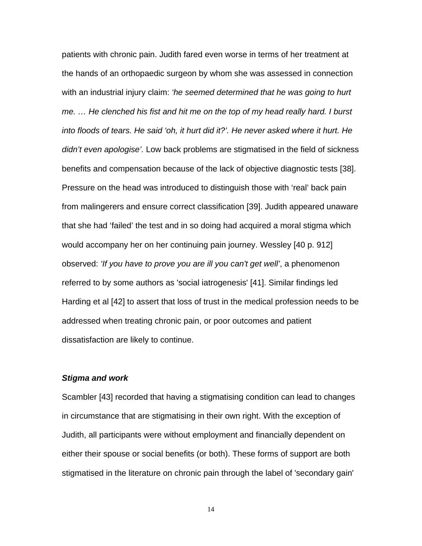patients with chronic pain. Judith fared even worse in terms of her treatment at the hands of an orthopaedic surgeon by whom she was assessed in connection with an industrial injury claim: *'he seemed determined that he was going to hurt me. … He clenched his fist and hit me on the top of my head really hard. I burst into floods of tears. He said 'oh, it hurt did it?'. He never asked where it hurt. He didn't even apologise'.* Low back problems are stigmatised in the field of sickness benefits and compensation because of the lack of objective diagnostic tests [38]. Pressure on the head was introduced to distinguish those with 'real' back pain from malingerers and ensure correct classification [39]. Judith appeared unaware that she had 'failed' the test and in so doing had acquired a moral stigma which would accompany her on her continuing pain journey. Wessley [40 p. 912] observed: *'If you have to prove you are ill you can't get well'*, a phenomenon referred to by some authors as 'social iatrogenesis' [41]. Similar findings led Harding et al [42] to assert that loss of trust in the medical profession needs to be addressed when treating chronic pain, or poor outcomes and patient dissatisfaction are likely to continue.

## *Stigma and work*

Scambler [43] recorded that having a stigmatising condition can lead to changes in circumstance that are stigmatising in their own right. With the exception of Judith, all participants were without employment and financially dependent on either their spouse or social benefits (or both). These forms of support are both stigmatised in the literature on chronic pain through the label of 'secondary gain'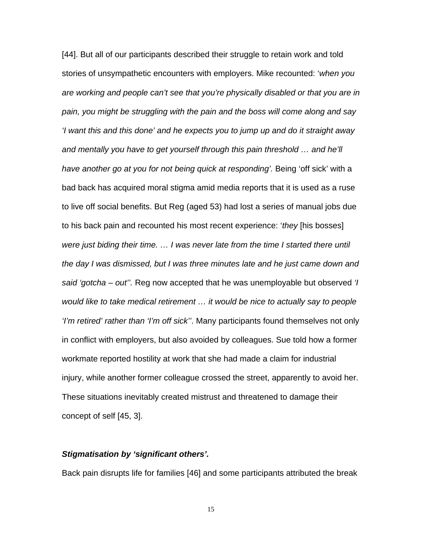[44]. But all of our participants described their struggle to retain work and told stories of unsympathetic encounters with employers. Mike recounted: '*when you are working and people can't see that you're physically disabled or that you are in pain, you might be struggling with the pain and the boss will come along and say 'I want this and this done' and he expects you to jump up and do it straight away*  and mentally you have to get yourself through this pain threshold ... and he'll *have another go at you for not being quick at responding'*. Being 'off sick' with a bad back has acquired moral stigma amid media reports that it is used as a ruse to live off social benefits. But Reg (aged 53) had lost a series of manual jobs due to his back pain and recounted his most recent experience: '*they* [his bosses] *were just biding their time. … I was never late from the time I started there until the day I was dismissed, but I was three minutes late and he just came down and said 'gotcha – out''.* Reg now accepted that he was unemployable but observed *'I would like to take medical retirement … it would be nice to actually say to people 'I'm retired' rather than 'I'm off sick''*. Many participants found themselves not only in conflict with employers, but also avoided by colleagues. Sue told how a former workmate reported hostility at work that she had made a claim for industrial injury, while another former colleague crossed the street, apparently to avoid her. These situations inevitably created mistrust and threatened to damage their concept of self [45, 3].

# *Stigmatisation by 'significant others'.*

Back pain disrupts life for families [46] and some participants attributed the break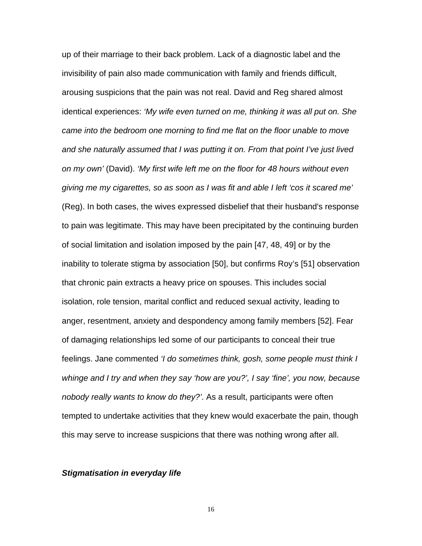up of their marriage to their back problem. Lack of a diagnostic label and the invisibility of pain also made communication with family and friends difficult, arousing suspicions that the pain was not real. David and Reg shared almost identical experiences: *'My wife even turned on me, thinking it was all put on. She came into the bedroom one morning to find me flat on the floor unable to move and she naturally assumed that I was putting it on. From that point I've just lived on my own'* (David). *'My first wife left me on the floor for 48 hours without even giving me my cigarettes, so as soon as I was fit and able I left 'cos it scared me'* (Reg). In both cases, the wives expressed disbelief that their husband's response to pain was legitimate. This may have been precipitated by the continuing burden of social limitation and isolation imposed by the pain [47, 48, 49] or by the inability to tolerate stigma by association [50], but confirms Roy's [51] observation that chronic pain extracts a heavy price on spouses. This includes social isolation, role tension, marital conflict and reduced sexual activity, leading to anger, resentment, anxiety and despondency among family members [52]. Fear of damaging relationships led some of our participants to conceal their true feelings. Jane commented *'I do sometimes think, gosh, some people must think I whinge and I try and when they say 'how are you?', I say 'fine', you now, because nobody really wants to know do they?'*. As a result, participants were often tempted to undertake activities that they knew would exacerbate the pain, though this may serve to increase suspicions that there was nothing wrong after all.

### *Stigmatisation in everyday life*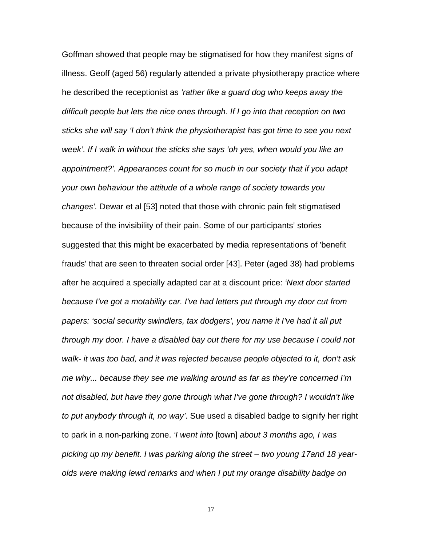Goffman showed that people may be stigmatised for how they manifest signs of illness. Geoff (aged 56) regularly attended a private physiotherapy practice where he described the receptionist as *'rather like a guard dog who keeps away the difficult people but lets the nice ones through. If I go into that reception on two sticks she will say 'I don't think the physiotherapist has got time to see you next week'. If I walk in without the sticks she says 'oh yes, when would you like an appointment?'. Appearances count for so much in our society that if you adapt your own behaviour the attitude of a whole range of society towards you changes'.* Dewar et al [53] noted that those with chronic pain felt stigmatised because of the invisibility of their pain. Some of our participants' stories suggested that this might be exacerbated by media representations of 'benefit frauds' that are seen to threaten social order [43]. Peter (aged 38) had problems after he acquired a specially adapted car at a discount price: *'Next door started because I've got a motability car. I've had letters put through my door cut from papers: 'social security swindlers, tax dodgers', you name it I've had it all put through my door. I have a disabled bay out there for my use because I could not walk- it was too bad, and it was rejected because people objected to it, don't ask me why... because they see me walking around as far as they're concerned I'm not disabled, but have they gone through what I've gone through? I wouldn't like to put anybody through it, no way'*. Sue used a disabled badge to signify her right to park in a non-parking zone. *'I went into* [town] *about 3 months ago, I was picking up my benefit. I was parking along the street – two young 17and 18 yearolds were making lewd remarks and when I put my orange disability badge on*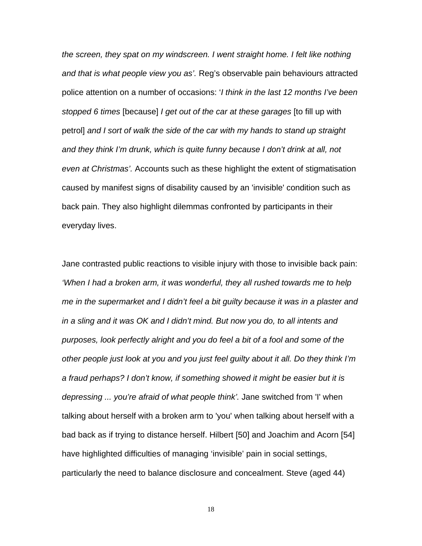*the screen, they spat on my windscreen. I went straight home. I felt like nothing and that is what people view you as'.* Reg's observable pain behaviours attracted police attention on a number of occasions: '*I think in the last 12 months I've been stopped 6 times* [because] *I get out of the car at these garages* [to fill up with petrol] *and I sort of walk the side of the car with my hands to stand up straight and they think I'm drunk, which is quite funny because I don't drink at all, not even at Christmas'.* Accounts such as these highlight the extent of stigmatisation caused by manifest signs of disability caused by an 'invisible' condition such as back pain. They also highlight dilemmas confronted by participants in their everyday lives.

Jane contrasted public reactions to visible injury with those to invisible back pain: *'When I had a broken arm, it was wonderful, they all rushed towards me to help me in the supermarket and I didn't feel a bit guilty because it was in a plaster and in a sling and it was OK and I didn't mind. But now you do, to all intents and purposes, look perfectly alright and you do feel a bit of a fool and some of the other people just look at you and you just feel guilty about it all. Do they think I'm a fraud perhaps? I don't know, if something showed it might be easier but it is depressing ... you're afraid of what people think'.* Jane switched from 'I' when talking about herself with a broken arm to 'you' when talking about herself with a bad back as if trying to distance herself. Hilbert [50] and Joachim and Acorn [54] have highlighted difficulties of managing 'invisible' pain in social settings, particularly the need to balance disclosure and concealment. Steve (aged 44)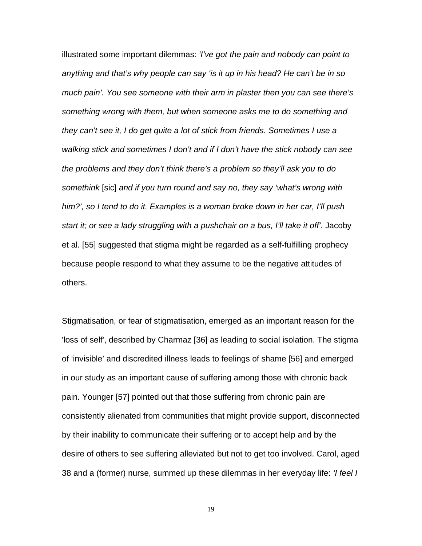illustrated some important dilemmas: *'I've got the pain and nobody can point to anything and that's why people can say 'is it up in his head? He can't be in so much pain'. You see someone with their arm in plaster then you can see there's something wrong with them, but when someone asks me to do something and they can't see it, I do get quite a lot of stick from friends. Sometimes I use a walking stick and sometimes I don't and if I don't have the stick nobody can see the problems and they don't think there's a problem so they'll ask you to do somethink* [sic] *and if you turn round and say no, they say 'what's wrong with him?', so I tend to do it. Examples is a woman broke down in her car, I'll push start it; or see a lady struggling with a pushchair on a bus, I'll take it off'.* Jacoby et al. [55] suggested that stigma might be regarded as a self-fulfilling prophecy because people respond to what they assume to be the negative attitudes of others.

Stigmatisation, or fear of stigmatisation, emerged as an important reason for the 'loss of self', described by Charmaz [36] as leading to social isolation. The stigma of 'invisible' and discredited illness leads to feelings of shame [56] and emerged in our study as an important cause of suffering among those with chronic back pain. Younger [57] pointed out that those suffering from chronic pain are consistently alienated from communities that might provide support, disconnected by their inability to communicate their suffering or to accept help and by the desire of others to see suffering alleviated but not to get too involved. Carol, aged 38 and a (former) nurse, summed up these dilemmas in her everyday life: *'I feel I*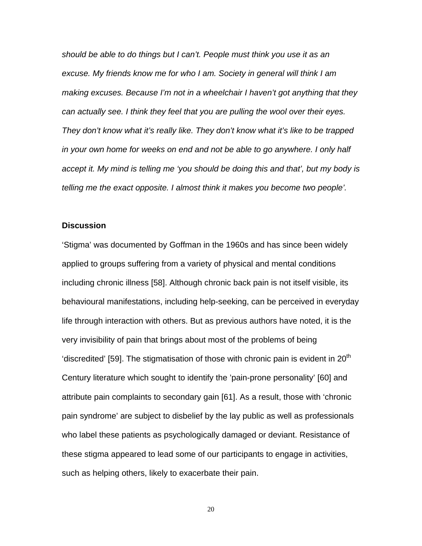*should be able to do things but I can't. People must think you use it as an excuse. My friends know me for who I am. Society in general will think I am making excuses. Because I'm not in a wheelchair I haven't got anything that they can actually see. I think they feel that you are pulling the wool over their eyes. They don't know what it's really like. They don't know what it's like to be trapped*  in your own home for weeks on end and not be able to go anywhere. I only half *accept it. My mind is telling me 'you should be doing this and that', but my body is telling me the exact opposite. I almost think it makes you become two people'.* 

### **Discussion**

'Stigma' was documented by Goffman in the 1960s and has since been widely applied to groups suffering from a variety of physical and mental conditions including chronic illness [58]. Although chronic back pain is not itself visible, its behavioural manifestations, including help-seeking, can be perceived in everyday life through interaction with others. But as previous authors have noted, it is the very invisibility of pain that brings about most of the problems of being 'discredited' [59]. The stigmatisation of those with chronic pain is evident in  $20<sup>th</sup>$ Century literature which sought to identify the 'pain-prone personality' [60] and attribute pain complaints to secondary gain [61]. As a result, those with 'chronic pain syndrome' are subject to disbelief by the lay public as well as professionals who label these patients as psychologically damaged or deviant. Resistance of these stigma appeared to lead some of our participants to engage in activities, such as helping others, likely to exacerbate their pain.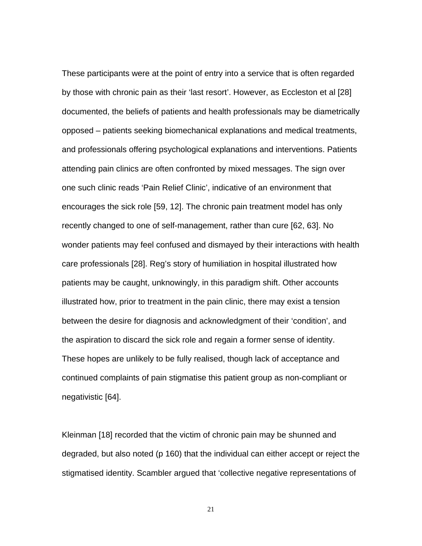These participants were at the point of entry into a service that is often regarded by those with chronic pain as their 'last resort'. However, as Eccleston et al [28] documented, the beliefs of patients and health professionals may be diametrically opposed – patients seeking biomechanical explanations and medical treatments, and professionals offering psychological explanations and interventions. Patients attending pain clinics are often confronted by mixed messages. The sign over one such clinic reads 'Pain Relief Clinic', indicative of an environment that encourages the sick role [59, 12]. The chronic pain treatment model has only recently changed to one of self-management, rather than cure [62, 63]. No wonder patients may feel confused and dismayed by their interactions with health care professionals [28]. Reg's story of humiliation in hospital illustrated how patients may be caught, unknowingly, in this paradigm shift. Other accounts illustrated how, prior to treatment in the pain clinic, there may exist a tension between the desire for diagnosis and acknowledgment of their 'condition', and the aspiration to discard the sick role and regain a former sense of identity. These hopes are unlikely to be fully realised, though lack of acceptance and continued complaints of pain stigmatise this patient group as non-compliant or negativistic [64].

Kleinman [18] recorded that the victim of chronic pain may be shunned and degraded, but also noted (p 160) that the individual can either accept or reject the stigmatised identity. Scambler argued that 'collective negative representations of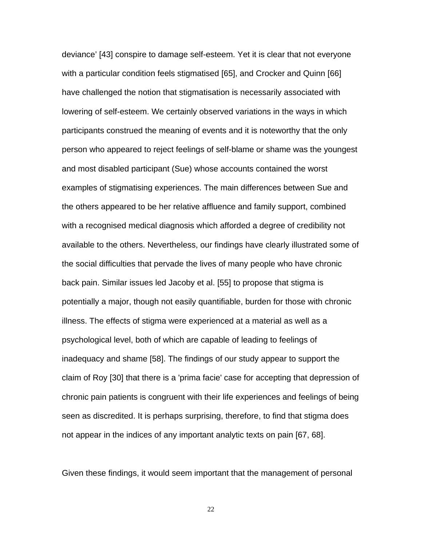deviance' [43] conspire to damage self-esteem. Yet it is clear that not everyone with a particular condition feels stigmatised [65], and Crocker and Quinn [66] have challenged the notion that stigmatisation is necessarily associated with lowering of self-esteem. We certainly observed variations in the ways in which participants construed the meaning of events and it is noteworthy that the only person who appeared to reject feelings of self-blame or shame was the youngest and most disabled participant (Sue) whose accounts contained the worst examples of stigmatising experiences. The main differences between Sue and the others appeared to be her relative affluence and family support, combined with a recognised medical diagnosis which afforded a degree of credibility not available to the others. Nevertheless, our findings have clearly illustrated some of the social difficulties that pervade the lives of many people who have chronic back pain. Similar issues led Jacoby et al. [55] to propose that stigma is potentially a major, though not easily quantifiable, burden for those with chronic illness. The effects of stigma were experienced at a material as well as a psychological level, both of which are capable of leading to feelings of inadequacy and shame [58]. The findings of our study appear to support the claim of Roy [30] that there is a 'prima facie' case for accepting that depression of chronic pain patients is congruent with their life experiences and feelings of being seen as discredited. It is perhaps surprising, therefore, to find that stigma does not appear in the indices of any important analytic texts on pain [67, 68].

Given these findings, it would seem important that the management of personal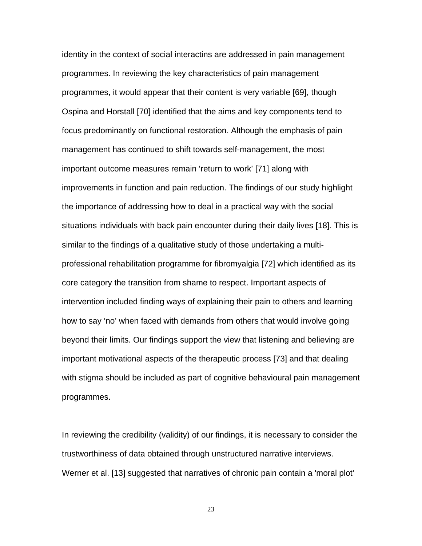identity in the context of social interactins are addressed in pain management programmes. In reviewing the key characteristics of pain management programmes, it would appear that their content is very variable [69], though Ospina and Horstall [70] identified that the aims and key components tend to focus predominantly on functional restoration. Although the emphasis of pain management has continued to shift towards self-management, the most important outcome measures remain 'return to work' [71] along with improvements in function and pain reduction. The findings of our study highlight the importance of addressing how to deal in a practical way with the social situations individuals with back pain encounter during their daily lives [18]. This is similar to the findings of a qualitative study of those undertaking a multiprofessional rehabilitation programme for fibromyalgia [72] which identified as its core category the transition from shame to respect. Important aspects of intervention included finding ways of explaining their pain to others and learning how to say 'no' when faced with demands from others that would involve going beyond their limits. Our findings support the view that listening and believing are important motivational aspects of the therapeutic process [73] and that dealing with stigma should be included as part of cognitive behavioural pain management programmes.

In reviewing the credibility (validity) of our findings, it is necessary to consider the trustworthiness of data obtained through unstructured narrative interviews. Werner et al. [13] suggested that narratives of chronic pain contain a 'moral plot'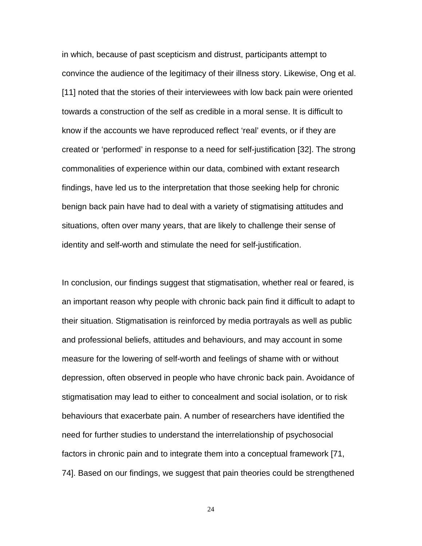in which, because of past scepticism and distrust, participants attempt to convince the audience of the legitimacy of their illness story. Likewise, Ong et al. [11] noted that the stories of their interviewees with low back pain were oriented towards a construction of the self as credible in a moral sense. It is difficult to know if the accounts we have reproduced reflect 'real' events, or if they are created or 'performed' in response to a need for self-justification [32]. The strong commonalities of experience within our data, combined with extant research findings, have led us to the interpretation that those seeking help for chronic benign back pain have had to deal with a variety of stigmatising attitudes and situations, often over many years, that are likely to challenge their sense of identity and self-worth and stimulate the need for self-justification.

In conclusion, our findings suggest that stigmatisation, whether real or feared, is an important reason why people with chronic back pain find it difficult to adapt to their situation. Stigmatisation is reinforced by media portrayals as well as public and professional beliefs, attitudes and behaviours, and may account in some measure for the lowering of self-worth and feelings of shame with or without depression, often observed in people who have chronic back pain. Avoidance of stigmatisation may lead to either to concealment and social isolation, or to risk behaviours that exacerbate pain. A number of researchers have identified the need for further studies to understand the interrelationship of psychosocial factors in chronic pain and to integrate them into a conceptual framework [71, 74]. Based on our findings, we suggest that pain theories could be strengthened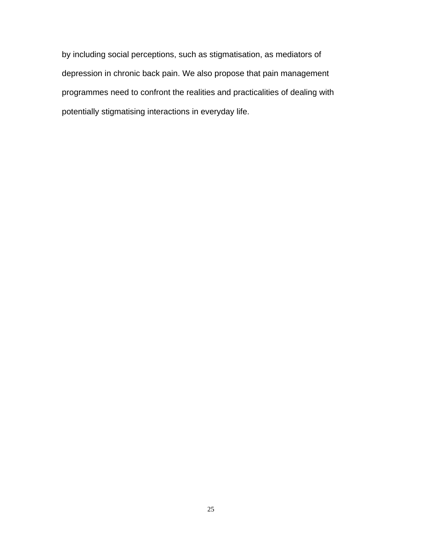by including social perceptions, such as stigmatisation, as mediators of depression in chronic back pain. We also propose that pain management programmes need to confront the realities and practicalities of dealing with potentially stigmatising interactions in everyday life.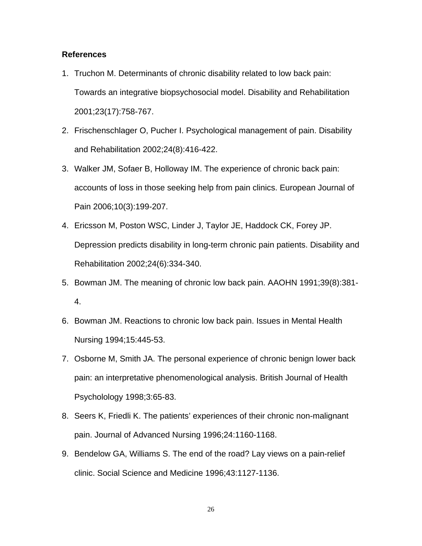## **References**

- 1. Truchon M. Determinants of chronic disability related to low back pain: Towards an integrative biopsychosocial model. Disability and Rehabilitation 2001;23(17):758-767.
- 2. Frischenschlager O, Pucher I. Psychological management of pain. Disability and Rehabilitation 2002;24(8):416-422.
- 3. Walker JM, Sofaer B, Holloway IM. The experience of chronic back pain: accounts of loss in those seeking help from pain clinics. European Journal of Pain 2006;10(3):199-207.
- 4. Ericsson M, Poston WSC, Linder J, Taylor JE, Haddock CK, Forey JP. Depression predicts disability in long-term chronic pain patients. Disability and Rehabilitation 2002;24(6):334-340.
- 5. Bowman JM. The meaning of chronic low back pain. AAOHN 1991;39(8):381- 4.
- 6. Bowman JM. Reactions to chronic low back pain. Issues in Mental Health Nursing 1994;15:445-53.
- 7. Osborne M, Smith JA. The personal experience of chronic benign lower back pain: an interpretative phenomenological analysis. British Journal of Health Psycholology 1998;3:65-83.
- 8. Seers K, Friedli K. The patients' experiences of their chronic non-malignant pain. Journal of Advanced Nursing 1996;24:1160-1168.
- 9. Bendelow GA, Williams S. The end of the road? Lay views on a pain-relief clinic. Social Science and Medicine 1996;43:1127-1136.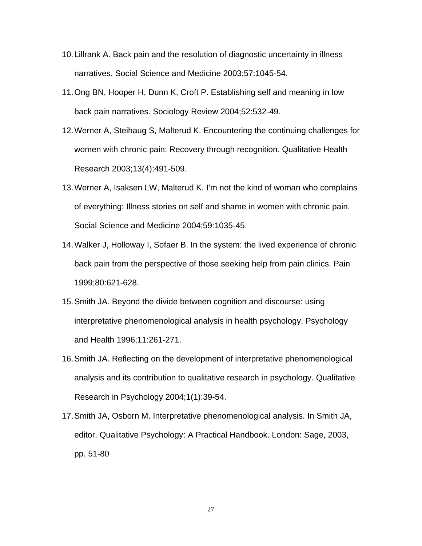- 10. Lillrank A. Back pain and the resolution of diagnostic uncertainty in illness narratives. Social Science and Medicine 2003;57:1045-54.
- 11. Ong BN, Hooper H, Dunn K, Croft P. Establishing self and meaning in low back pain narratives. Sociology Review 2004;52:532-49.
- 12. Werner A, Steihaug S, Malterud K. Encountering the continuing challenges for women with chronic pain: Recovery through recognition. Qualitative Health Research 2003;13(4):491-509.
- 13. Werner A, Isaksen LW, Malterud K. I'm not the kind of woman who complains of everything: Illness stories on self and shame in women with chronic pain. Social Science and Medicine 2004;59:1035-45.
- 14. Walker J, Holloway I, Sofaer B. In the system: the lived experience of chronic back pain from the perspective of those seeking help from pain clinics. Pain 1999;80:621-628.
- 15. Smith JA. Beyond the divide between cognition and discourse: using interpretative phenomenological analysis in health psychology. Psychology and Health 1996;11:261-271.
- 16. Smith JA. Reflecting on the development of interpretative phenomenological analysis and its contribution to qualitative research in psychology. Qualitative Research in Psychology 2004;1(1):39-54.
- 17. Smith JA, Osborn M. Interpretative phenomenological analysis. In Smith JA, editor. Qualitative Psychology: A Practical Handbook. London: Sage, 2003, pp. 51-80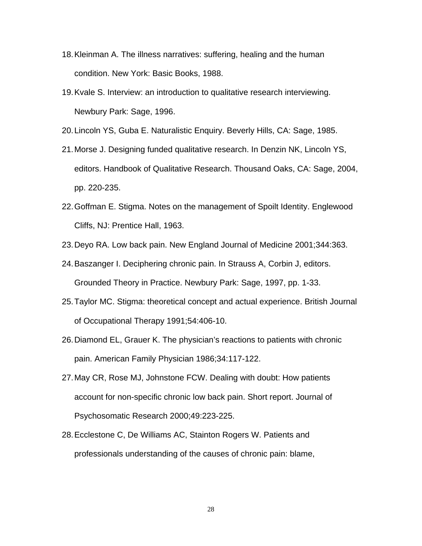- 18. Kleinman A. The illness narratives: suffering, healing and the human condition. New York: Basic Books, 1988.
- 19. Kvale S. Interview: an introduction to qualitative research interviewing. Newbury Park: Sage, 1996.
- 20. Lincoln YS, Guba E. Naturalistic Enquiry. Beverly Hills, CA: Sage, 1985.
- 21. Morse J. Designing funded qualitative research. In Denzin NK, Lincoln YS, editors. Handbook of Qualitative Research. Thousand Oaks, CA: Sage, 2004, pp. 220-235.
- 22. Goffman E. Stigma. Notes on the management of Spoilt Identity. Englewood Cliffs, NJ: Prentice Hall, 1963.
- 23. Deyo RA. Low back pain. New England Journal of Medicine 2001;344:363.
- 24. Baszanger I. Deciphering chronic pain. In Strauss A, Corbin J, editors. Grounded Theory in Practice. Newbury Park: Sage, 1997, pp. 1-33.
- 25. Taylor MC. Stigma: theoretical concept and actual experience. British Journal of Occupational Therapy 1991;54:406-10.
- 26. Diamond EL, Grauer K. The physician's reactions to patients with chronic pain. American Family Physician 1986;34:117-122.
- 27. May CR, Rose MJ, Johnstone FCW. Dealing with doubt: How patients account for non-specific chronic low back pain. Short report. Journal of Psychosomatic Research 2000;49:223-225.
- 28. Ecclestone C, De Williams AC, Stainton Rogers W. Patients and professionals understanding of the causes of chronic pain: blame,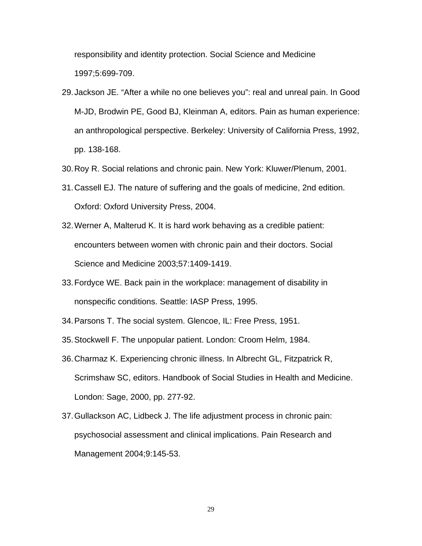responsibility and identity protection. Social Science and Medicine 1997;5:699-709.

- 29. Jackson JE. "After a while no one believes you": real and unreal pain. In Good M-JD, Brodwin PE, Good BJ, Kleinman A, editors. Pain as human experience: an anthropological perspective. Berkeley: University of California Press, 1992, pp. 138-168.
- 30. Roy R. Social relations and chronic pain. New York: Kluwer/Plenum, 2001.
- 31. Cassell EJ. The nature of suffering and the goals of medicine, 2nd edition. Oxford: Oxford University Press, 2004.
- 32. Werner A, Malterud K. It is hard work behaving as a credible patient: encounters between women with chronic pain and their doctors. Social Science and Medicine 2003;57:1409-1419.
- 33. Fordyce WE. Back pain in the workplace: management of disability in nonspecific conditions. Seattle: IASP Press, 1995.
- 34. Parsons T. The social system. Glencoe, IL: Free Press, 1951.
- 35. Stockwell F. The unpopular patient. London: Croom Helm, 1984.
- 36. Charmaz K. Experiencing chronic illness. In Albrecht GL, Fitzpatrick R, Scrimshaw SC, editors. Handbook of Social Studies in Health and Medicine. London: Sage, 2000, pp. 277-92.
- 37. Gullackson AC, Lidbeck J. The life adjustment process in chronic pain: psychosocial assessment and clinical implications. Pain Research and Management 2004;9:145-53.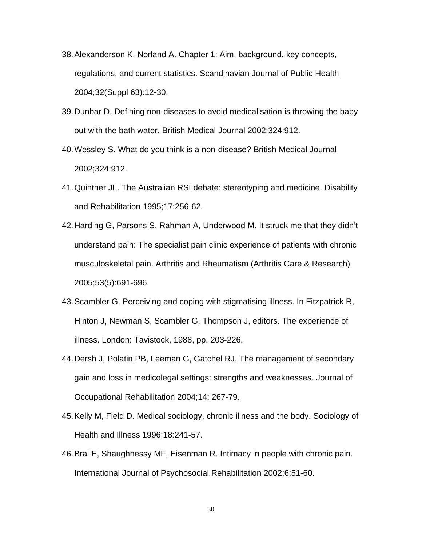- 38. Alexanderson K, Norland A. Chapter 1: Aim, background, key concepts, regulations, and current statistics. Scandinavian Journal of Public Health 2004;32(Suppl 63):12-30.
- 39. Dunbar D. Defining non-diseases to avoid medicalisation is throwing the baby out with the bath water. British Medical Journal 2002;324:912.
- 40. Wessley S. What do you think is a non-disease? British Medical Journal 2002;324:912.
- 41. Quintner JL. The Australian RSI debate: stereotyping and medicine. Disability and Rehabilitation 1995;17:256-62.
- 42. Harding G, Parsons S, Rahman A, Underwood M. It struck me that they didn't understand pain: The specialist pain clinic experience of patients with chronic musculoskeletal pain. Arthritis and Rheumatism (Arthritis Care & Research) 2005;53(5):691-696.
- 43. Scambler G. Perceiving and coping with stigmatising illness. In Fitzpatrick R, Hinton J, Newman S, Scambler G, Thompson J, editors. The experience of illness. London: Tavistock, 1988, pp. 203-226.
- 44. Dersh J, Polatin PB, Leeman G, Gatchel RJ. The management of secondary gain and loss in medicolegal settings: strengths and weaknesses. Journal of Occupational Rehabilitation 2004;14: 267-79.
- 45. Kelly M, Field D. Medical sociology, chronic illness and the body. Sociology of Health and Illness 1996;18:241-57.
- 46. Bral E, Shaughnessy MF, Eisenman R. Intimacy in people with chronic pain. International Journal of Psychosocial Rehabilitation 2002;6:51-60.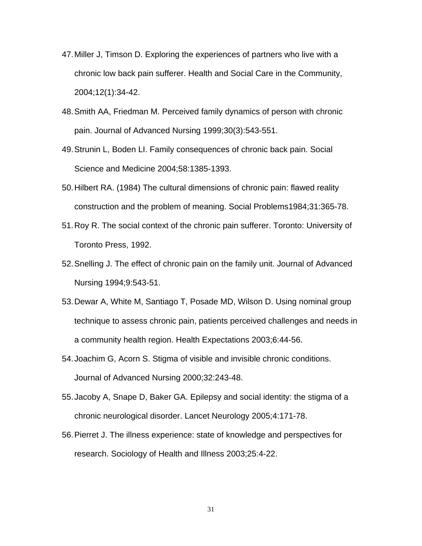- 47. Miller J, Timson D. Exploring the experiences of partners who live with a chronic low back pain sufferer. Health and Social Care in the Community, 2004;12(1):34-42.
- 48. Smith AA, Friedman M. Perceived family dynamics of person with chronic pain. Journal of Advanced Nursing 1999;30(3):543-551.
- 49. Strunin L, Boden LI. Family consequences of chronic back pain. Social Science and Medicine 2004;58:1385-1393.
- 50. Hilbert RA. (1984) The cultural dimensions of chronic pain: flawed reality construction and the problem of meaning. Social Problems1984;31:365-78.
- 51. Roy R. The social context of the chronic pain sufferer. Toronto: University of Toronto Press, 1992.
- 52. Snelling J. The effect of chronic pain on the family unit. Journal of Advanced Nursing 1994;9:543-51.
- 53. Dewar A, White M, Santiago T, Posade MD, Wilson D. Using nominal group technique to assess chronic pain, patients perceived challenges and needs in a community health region. Health Expectations 2003;6:44-56.
- 54. Joachim G, Acorn S. Stigma of visible and invisible chronic conditions. Journal of Advanced Nursing 2000;32:243-48.
- 55. Jacoby A, Snape D, Baker GA. Epilepsy and social identity: the stigma of a chronic neurological disorder. Lancet Neurology 2005;4:171-78.
- 56. Pierret J. The illness experience: state of knowledge and perspectives for research. Sociology of Health and Illness 2003;25:4-22.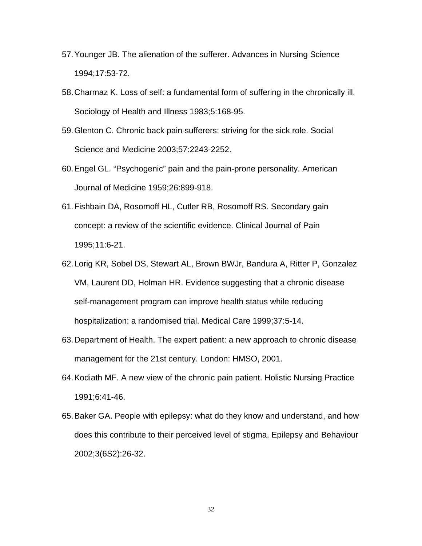- 57. Younger JB. The alienation of the sufferer. Advances in Nursing Science 1994;17:53-72.
- 58. Charmaz K. Loss of self: a fundamental form of suffering in the chronically ill. Sociology of Health and Illness 1983;5:168-95.
- 59. Glenton C. Chronic back pain sufferers: striving for the sick role. Social Science and Medicine 2003;57:2243-2252.
- 60. Engel GL. "Psychogenic" pain and the pain-prone personality. American Journal of Medicine 1959;26:899-918.
- 61. Fishbain DA, Rosomoff HL, Cutler RB, Rosomoff RS. Secondary gain concept: a review of the scientific evidence. Clinical Journal of Pain 1995;11:6-21.
- 62. Lorig KR, Sobel DS, Stewart AL, Brown BWJr, Bandura A, Ritter P, Gonzalez VM, Laurent DD, Holman HR. Evidence suggesting that a chronic disease self-management program can improve health status while reducing hospitalization: a randomised trial. Medical Care 1999;37:5-14.
- 63. Department of Health. The expert patient: a new approach to chronic disease management for the 21st century. London: HMSO, 2001.
- 64. Kodiath MF. A new view of the chronic pain patient. Holistic Nursing Practice 1991;6:41-46.
- 65. Baker GA. People with epilepsy: what do they know and understand, and how does this contribute to their perceived level of stigma. Epilepsy and Behaviour 2002;3(6S2):26-32.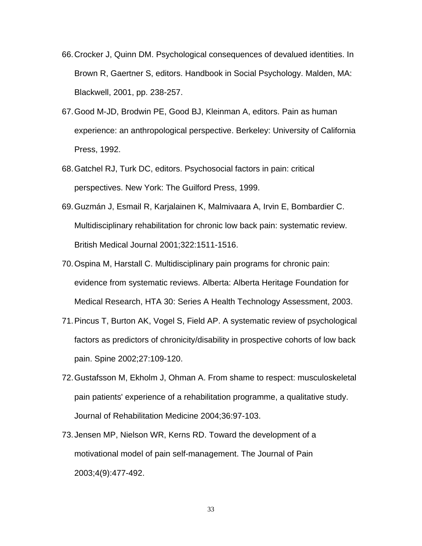- 66. Crocker J, Quinn DM. Psychological consequences of devalued identities. In Brown R, Gaertner S, editors. Handbook in Social Psychology. Malden, MA: Blackwell, 2001, pp. 238-257.
- 67. Good M-JD, Brodwin PE, Good BJ, Kleinman A, editors. Pain as human experience: an anthropological perspective. Berkeley: University of California Press, 1992.
- 68. Gatchel RJ, Turk DC, editors. Psychosocial factors in pain: critical perspectives. New York: The Guilford Press, 1999.
- 69. Guzmán J, Esmail R, Karjalainen K, Malmivaara A, Irvin E, Bombardier C. Multidisciplinary rehabilitation for chronic low back pain: systematic review. British Medical Journal 2001;322:1511-1516.
- 70. Ospina M, Harstall C. Multidisciplinary pain programs for chronic pain: evidence from systematic reviews. Alberta: Alberta Heritage Foundation for Medical Research, HTA 30: Series A Health Technology Assessment, 2003.
- 71. Pincus T, Burton AK, Vogel S, Field AP. A systematic review of psychological factors as predictors of chronicity/disability in prospective cohorts of low back pain. Spine 2002;27:109-120.
- 72. Gustafsson M, Ekholm J, Ohman A. From shame to respect: musculoskeletal pain patients' experience of a rehabilitation programme, a qualitative study. Journal of Rehabilitation Medicine 2004;36:97-103.
- 73. Jensen MP, Nielson WR, Kerns RD. Toward the development of a motivational model of pain self-management. The Journal of Pain 2003;4(9):477-492.